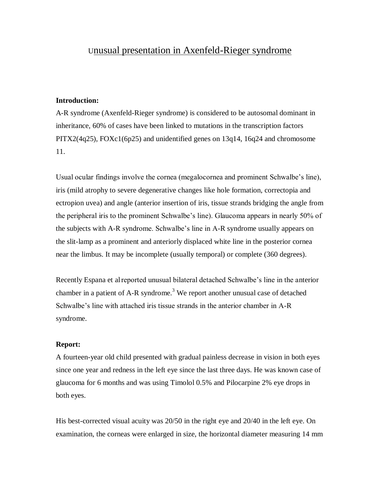## Unusual presentation in Axenfeld-Rieger syndrome

## **Introduction:**

A-R syndrome (Axenfeld-Rieger syndrome) is considered to be autosomal dominant in inheritance, 60% of cases have been linked to mutations in the transcription factors  $PITX2(4q25)$ ,  $FOXc1(6p25)$  and unidentified genes on 13q14, 16q24 and chromosome 11.

Usual ocular findings involve the cornea (megalocornea and prominent Schwalbe's line), iris (mild atrophy to severe degenerative changes like hole formation, correctopia and ectropion uvea) and angle (anterior insertion of iris, tissue strands bridging the angle from the peripheral iris to the prominent Schwalbe's line). Glaucoma appears in nearly 50% of the subjects with A-R syndrome. Schwalbe's line in A-R syndrome usually appears on the slit-lamp as a prominent and anteriorly displaced white line in the posterior cornea near the limbus. It may be incomplete (usually temporal) or complete (360 degrees).

Recently Espana et alreported unusual bilateral detached Schwalbe's line in the anterior chamber in a patient of A-R syndrome.<sup>3</sup> We report another unusual case of detached Schwalbe's line with attached iris tissue strands in the anterior chamber in A-R syndrome.

## **Report:**

A fourteen-year old child presented with gradual painless decrease in vision in both eyes since one year and redness in the left eye since the last three days. He was known case of glaucoma for 6 months and was using Timolol 0.5% and Pilocarpine 2% eye drops in both eyes.

His best-corrected visual acuity was 20/50 in the right eye and 20/40 in the left eye. On examination, the corneas were enlarged in size, the horizontal diameter measuring 14 mm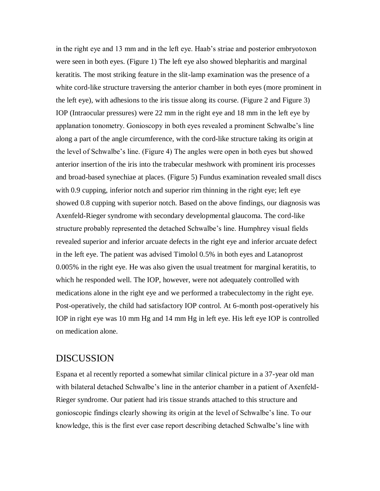in the right eye and 13 mm and in the left eye. Haab's striae and posterior embryotoxon were seen in both eyes. (Figure 1) The left eye also showed blepharitis and marginal keratitis. The most striking feature in the slit-lamp examination was the presence of a white cord-like structure traversing the anterior chamber in both eyes (more prominent in the left eye), with adhesions to the iris tissue along its course. (Figure 2 and Figure 3) IOP (Intraocular pressures) were 22 mm in the right eye and 18 mm in the left eye by applanation tonometry. Gonioscopy in both eyes revealed a prominent Schwalbe's line along a part of the angle circumference, with the cord-like structure taking its origin at the level of Schwalbe's line. (Figure 4) The angles were open in both eyes but showed anterior insertion of the iris into the trabecular meshwork with prominent iris processes and broad-based synechiae at places. (Figure 5) Fundus examination revealed small discs with 0.9 cupping, inferior notch and superior rim thinning in the right eye; left eye showed 0.8 cupping with superior notch. Based on the above findings, our diagnosis was Axenfeld-Rieger syndrome with secondary developmental glaucoma. The cord-like structure probably represented the detached Schwalbe's line. Humphrey visual fields revealed superior and inferior arcuate defects in the right eye and inferior arcuate defect in the left eye. The patient was advised Timolol 0.5% in both eyes and Latanoprost 0.005% in the right eye. He was also given the usual treatment for marginal keratitis, to which he responded well. The IOP, however, were not adequately controlled with medications alone in the right eye and we performed a trabeculectomy in the right eye. Post-operatively, the child had satisfactory IOP control. At 6-month post-operatively his IOP in right eye was 10 mm Hg and 14 mm Hg in left eye. His left eye IOP is controlled on medication alone.

## DISCUSSION

Espana et al recently reported a somewhat similar clinical picture in a 37-year old man with bilateral detached Schwalbe's line in the anterior chamber in a patient of Axenfeld-Rieger syndrome. Our patient had iris tissue strands attached to this structure and gonioscopic findings clearly showing its origin at the level of Schwalbe's line. To our knowledge, this is the first ever case report describing detached Schwalbe's line with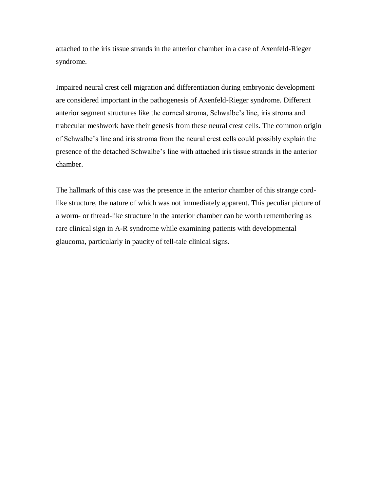attached to the iris tissue strands in the anterior chamber in a case of Axenfeld-Rieger syndrome.

Impaired neural crest cell migration and differentiation during embryonic development are considered important in the pathogenesis of Axenfeld-Rieger syndrome. Different anterior segment structures like the corneal stroma, Schwalbe's line, iris stroma and trabecular meshwork have their genesis from these neural crest cells. The common origin of Schwalbe's line and iris stroma from the neural crest cells could possibly explain the presence of the detached Schwalbe's line with attached iris tissue strands in the anterior chamber.

The hallmark of this case was the presence in the anterior chamber of this strange cordlike structure, the nature of which was not immediately apparent. This peculiar picture of a worm- or thread-like structure in the anterior chamber can be worth remembering as rare clinical sign in A-R syndrome while examining patients with developmental glaucoma, particularly in paucity of tell-tale clinical signs.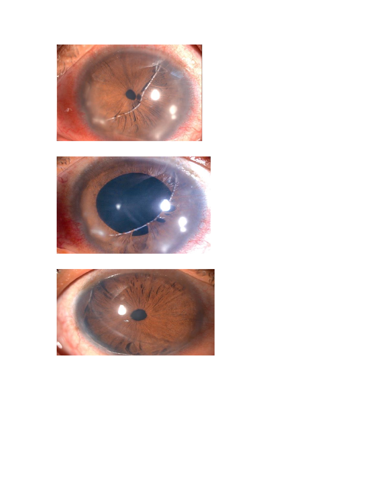